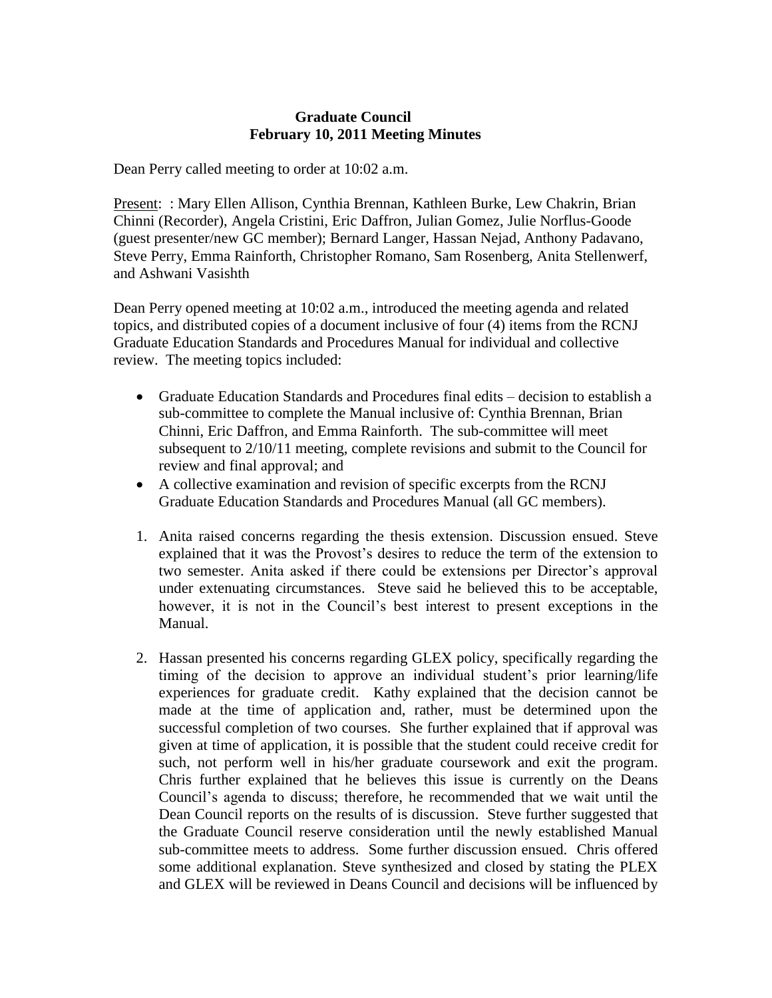## **Graduate Council February 10, 2011 Meeting Minutes**

Dean Perry called meeting to order at 10:02 a.m.

Present: : Mary Ellen Allison, Cynthia Brennan, Kathleen Burke, Lew Chakrin, Brian Chinni (Recorder), Angela Cristini, Eric Daffron, Julian Gomez, Julie Norflus-Goode (guest presenter/new GC member); Bernard Langer, Hassan Nejad, Anthony Padavano, Steve Perry, Emma Rainforth, Christopher Romano, Sam Rosenberg, Anita Stellenwerf, and Ashwani Vasishth

Dean Perry opened meeting at 10:02 a.m., introduced the meeting agenda and related topics, and distributed copies of a document inclusive of four (4) items from the RCNJ Graduate Education Standards and Procedures Manual for individual and collective review. The meeting topics included:

- Graduate Education Standards and Procedures final edits decision to establish a sub-committee to complete the Manual inclusive of: Cynthia Brennan, Brian Chinni, Eric Daffron, and Emma Rainforth. The sub-committee will meet subsequent to 2/10/11 meeting, complete revisions and submit to the Council for review and final approval; and
- A collective examination and revision of specific excerpts from the RCNJ Graduate Education Standards and Procedures Manual (all GC members).
- 1. Anita raised concerns regarding the thesis extension. Discussion ensued. Steve explained that it was the Provost's desires to reduce the term of the extension to two semester. Anita asked if there could be extensions per Director's approval under extenuating circumstances. Steve said he believed this to be acceptable, however, it is not in the Council's best interest to present exceptions in the Manual.
- 2. Hassan presented his concerns regarding GLEX policy, specifically regarding the timing of the decision to approve an individual student's prior learning/life experiences for graduate credit. Kathy explained that the decision cannot be made at the time of application and, rather, must be determined upon the successful completion of two courses. She further explained that if approval was given at time of application, it is possible that the student could receive credit for such, not perform well in his/her graduate coursework and exit the program. Chris further explained that he believes this issue is currently on the Deans Council's agenda to discuss; therefore, he recommended that we wait until the Dean Council reports on the results of is discussion. Steve further suggested that the Graduate Council reserve consideration until the newly established Manual sub-committee meets to address. Some further discussion ensued. Chris offered some additional explanation. Steve synthesized and closed by stating the PLEX and GLEX will be reviewed in Deans Council and decisions will be influenced by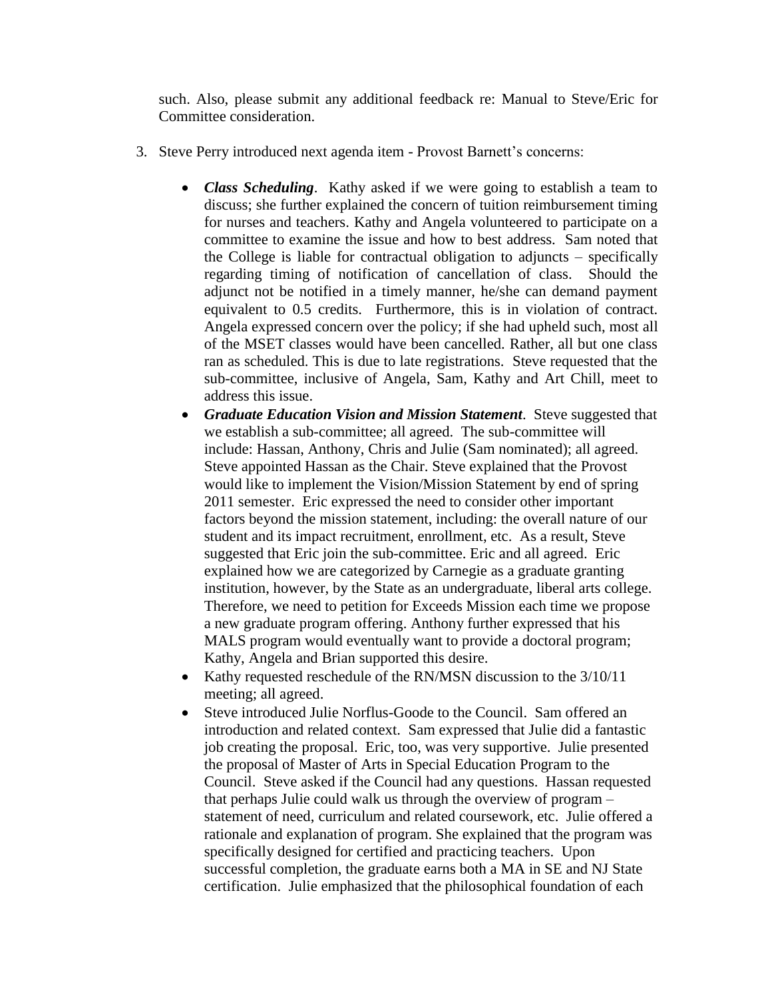such. Also, please submit any additional feedback re: Manual to Steve/Eric for Committee consideration.

- 3. Steve Perry introduced next agenda item Provost Barnett's concerns:
	- *Class Scheduling*. Kathy asked if we were going to establish a team to discuss; she further explained the concern of tuition reimbursement timing for nurses and teachers. Kathy and Angela volunteered to participate on a committee to examine the issue and how to best address. Sam noted that the College is liable for contractual obligation to adjuncts – specifically regarding timing of notification of cancellation of class. Should the adjunct not be notified in a timely manner, he/she can demand payment equivalent to 0.5 credits. Furthermore, this is in violation of contract. Angela expressed concern over the policy; if she had upheld such, most all of the MSET classes would have been cancelled. Rather, all but one class ran as scheduled. This is due to late registrations. Steve requested that the sub-committee, inclusive of Angela, Sam, Kathy and Art Chill, meet to address this issue.
	- *Graduate Education Vision and Mission Statement*. Steve suggested that we establish a sub-committee; all agreed. The sub-committee will include: Hassan, Anthony, Chris and Julie (Sam nominated); all agreed. Steve appointed Hassan as the Chair. Steve explained that the Provost would like to implement the Vision/Mission Statement by end of spring 2011 semester. Eric expressed the need to consider other important factors beyond the mission statement, including: the overall nature of our student and its impact recruitment, enrollment, etc. As a result, Steve suggested that Eric join the sub-committee. Eric and all agreed. Eric explained how we are categorized by Carnegie as a graduate granting institution, however, by the State as an undergraduate, liberal arts college. Therefore, we need to petition for Exceeds Mission each time we propose a new graduate program offering. Anthony further expressed that his MALS program would eventually want to provide a doctoral program; Kathy, Angela and Brian supported this desire.
	- Kathy requested reschedule of the RN/MSN discussion to the  $3/10/11$ meeting; all agreed.
	- Steve introduced Julie Norflus-Goode to the Council. Sam offered an introduction and related context. Sam expressed that Julie did a fantastic job creating the proposal. Eric, too, was very supportive. Julie presented the proposal of Master of Arts in Special Education Program to the Council. Steve asked if the Council had any questions. Hassan requested that perhaps Julie could walk us through the overview of program – statement of need, curriculum and related coursework, etc. Julie offered a rationale and explanation of program. She explained that the program was specifically designed for certified and practicing teachers. Upon successful completion, the graduate earns both a MA in SE and NJ State certification. Julie emphasized that the philosophical foundation of each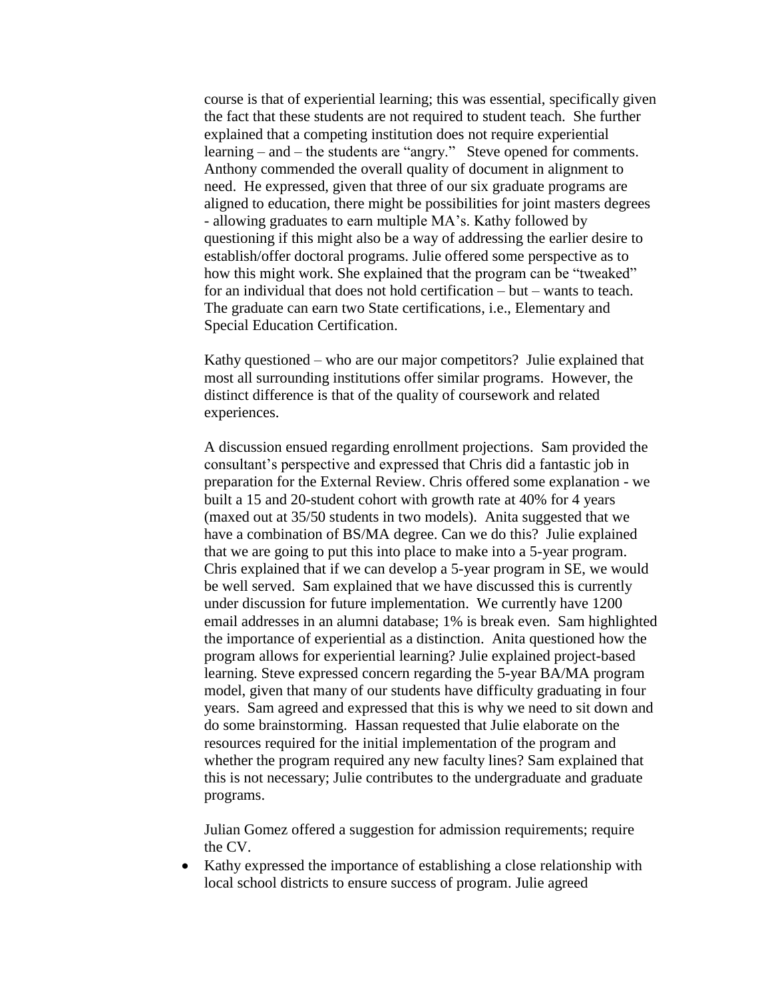course is that of experiential learning; this was essential, specifically given the fact that these students are not required to student teach. She further explained that a competing institution does not require experiential learning – and – the students are "angry." Steve opened for comments. Anthony commended the overall quality of document in alignment to need. He expressed, given that three of our six graduate programs are aligned to education, there might be possibilities for joint masters degrees - allowing graduates to earn multiple MA's. Kathy followed by questioning if this might also be a way of addressing the earlier desire to establish/offer doctoral programs. Julie offered some perspective as to how this might work. She explained that the program can be "tweaked" for an individual that does not hold certification – but – wants to teach. The graduate can earn two State certifications, i.e., Elementary and Special Education Certification.

Kathy questioned – who are our major competitors? Julie explained that most all surrounding institutions offer similar programs. However, the distinct difference is that of the quality of coursework and related experiences.

A discussion ensued regarding enrollment projections. Sam provided the consultant's perspective and expressed that Chris did a fantastic job in preparation for the External Review. Chris offered some explanation - we built a 15 and 20-student cohort with growth rate at 40% for 4 years (maxed out at 35/50 students in two models). Anita suggested that we have a combination of BS/MA degree. Can we do this? Julie explained that we are going to put this into place to make into a 5-year program. Chris explained that if we can develop a 5-year program in SE, we would be well served. Sam explained that we have discussed this is currently under discussion for future implementation. We currently have 1200 email addresses in an alumni database; 1% is break even. Sam highlighted the importance of experiential as a distinction. Anita questioned how the program allows for experiential learning? Julie explained project-based learning. Steve expressed concern regarding the 5-year BA/MA program model, given that many of our students have difficulty graduating in four years. Sam agreed and expressed that this is why we need to sit down and do some brainstorming. Hassan requested that Julie elaborate on the resources required for the initial implementation of the program and whether the program required any new faculty lines? Sam explained that this is not necessary; Julie contributes to the undergraduate and graduate programs.

Julian Gomez offered a suggestion for admission requirements; require the CV.

 Kathy expressed the importance of establishing a close relationship with local school districts to ensure success of program. Julie agreed